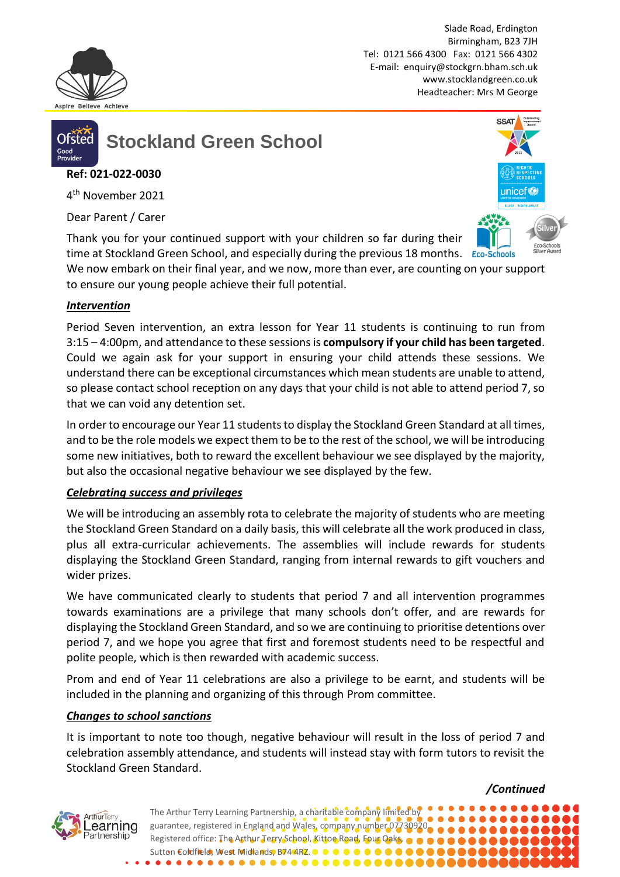

Slade Road, Erdington Birmingham, B23 7JH Tel: 0121 566 4300 Fax: 0121 566 4302 E-mail: [enquiry@stockgrn.bham.sch.uk](mailto:enquiry@stockgrn.bham.sch.uk) [www.stocklandgreen.co.uk](http://www.stocklandgreen.co.uk/) Headteacher: Mrs M George



**Stockland Green School**

# **Ref: 021-022-0030**

4 th November 2021

Dear Parent / Carer

Thank you for your continued support with your children so far during their time at Stockland Green School, and especially during the previous 18 months. Eco-Schools



*/Continued*

We now embark on their final year, and we now, more than ever, are counting on your support to ensure our young people achieve their full potential.

## *Intervention*

Period Seven intervention, an extra lesson for Year 11 students is continuing to run from 3:15 – 4:00pm, and attendance to these sessions is **compulsory if your child has been targeted**. Could we again ask for your support in ensuring your child attends these sessions. We understand there can be exceptional circumstances which mean students are unable to attend, so please contact school reception on any days that your child is not able to attend period 7, so that we can void any detention set.

In order to encourage our Year 11 students to display the Stockland Green Standard at all times, and to be the role models we expect them to be to the rest of the school, we will be introducing some new initiatives, both to reward the excellent behaviour we see displayed by the majority, but also the occasional negative behaviour we see displayed by the few.

## *Celebrating success and privileges*

We will be introducing an assembly rota to celebrate the majority of students who are meeting the Stockland Green Standard on a daily basis, this will celebrate all the work produced in class, plus all extra-curricular achievements. The assemblies will include rewards for students displaying the Stockland Green Standard, ranging from internal rewards to gift vouchers and wider prizes.

We have communicated clearly to students that period 7 and all intervention programmes towards examinations are a privilege that many schools don't offer, and are rewards for displaying the Stockland Green Standard, and so we are continuing to prioritise detentions over period 7, and we hope you agree that first and foremost students need to be respectful and polite people, which is then rewarded with academic success.

Prom and end of Year 11 celebrations are also a privilege to be earnt, and students will be included in the planning and organizing of this through Prom committee.

## *Changes to school sanctions*

It is important to note too though, negative behaviour will result in the loss of period 7 and celebration assembly attendance, and students will instead stay with form tutors to revisit the Stockland Green Standard.



The Arthur Terry Learning Partnership, a charitable company limited by guarantee, registered in England and Wales, company number 07730920. Registered office: The Arthur Terry School, Kittoe Road, Four Oaks,  $\bullet \bullet$ Sutton Coldfield, West Midlands, B74 4RZ.  $\bullet\bullet\bullet$  $\bullet$ . . . . . . . . . . . . . . . .